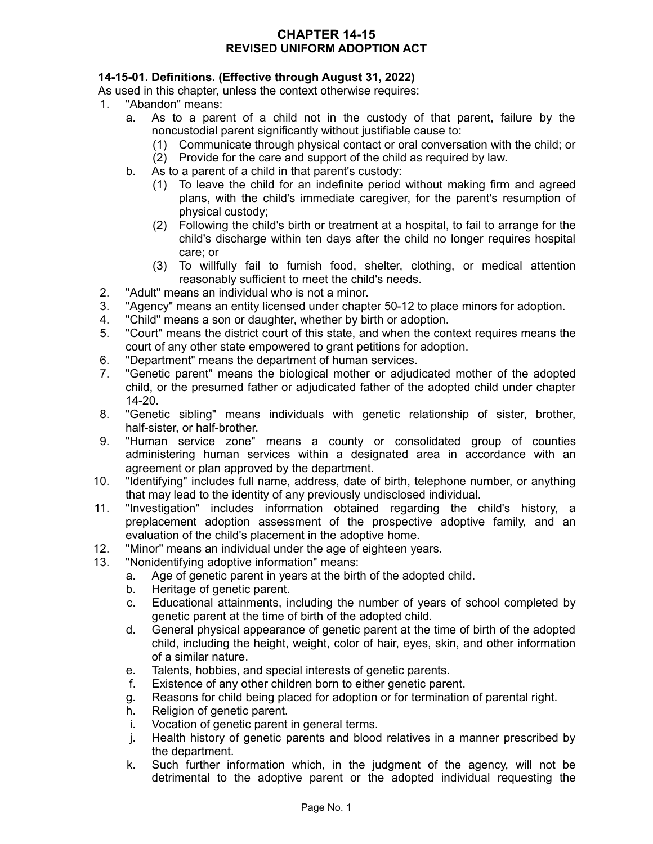### **CHAPTER 14-15 REVISED UNIFORM ADOPTION ACT**

## **14-15-01. Definitions. (Effective through August 31, 2022)**

As used in this chapter, unless the context otherwise requires:

- 1. "Abandon" means:
	- a. As to a parent of a child not in the custody of that parent, failure by the noncustodial parent significantly without justifiable cause to:
		- (1) Communicate through physical contact or oral conversation with the child; or
		- (2) Provide for the care and support of the child as required by law.
	- b. As to a parent of a child in that parent's custody:
		- (1) To leave the child for an indefinite period without making firm and agreed plans, with the child's immediate caregiver, for the parent's resumption of physical custody;
		- (2) Following the child's birth or treatment at a hospital, to fail to arrange for the child's discharge within ten days after the child no longer requires hospital care; or
		- (3) To willfully fail to furnish food, shelter, clothing, or medical attention reasonably sufficient to meet the child's needs.
- 2. "Adult" means an individual who is not a minor.
- 3. "Agency" means an entity licensed under chapter 50-12 to place minors for adoption.
- 4. "Child" means a son or daughter, whether by birth or adoption.
- 5. "Court" means the district court of this state, and when the context requires means the court of any other state empowered to grant petitions for adoption.
- 6. "Department" means the department of human services.
- 7. "Genetic parent" means the biological mother or adjudicated mother of the adopted child, or the presumed father or adjudicated father of the adopted child under chapter 14-20.
- 8. "Genetic sibling" means individuals with genetic relationship of sister, brother, half-sister, or half-brother.
- 9. "Human service zone" means a county or consolidated group of counties administering human services within a designated area in accordance with an agreement or plan approved by the department.
- 10. "Identifying" includes full name, address, date of birth, telephone number, or anything that may lead to the identity of any previously undisclosed individual.
- 11. "Investigation" includes information obtained regarding the child's history, a preplacement adoption assessment of the prospective adoptive family, and an evaluation of the child's placement in the adoptive home.
- 12. "Minor" means an individual under the age of eighteen years.
- 13. "Nonidentifying adoptive information" means:
	- a. Age of genetic parent in years at the birth of the adopted child.
	- b. Heritage of genetic parent.
	- c. Educational attainments, including the number of years of school completed by genetic parent at the time of birth of the adopted child.
	- d. General physical appearance of genetic parent at the time of birth of the adopted child, including the height, weight, color of hair, eyes, skin, and other information of a similar nature.
	- e. Talents, hobbies, and special interests of genetic parents.
	- f. Existence of any other children born to either genetic parent.
	- g. Reasons for child being placed for adoption or for termination of parental right.
	- h. Religion of genetic parent.
	- i. Vocation of genetic parent in general terms.
	- j. Health history of genetic parents and blood relatives in a manner prescribed by the department.
	- k. Such further information which, in the judgment of the agency, will not be detrimental to the adoptive parent or the adopted individual requesting the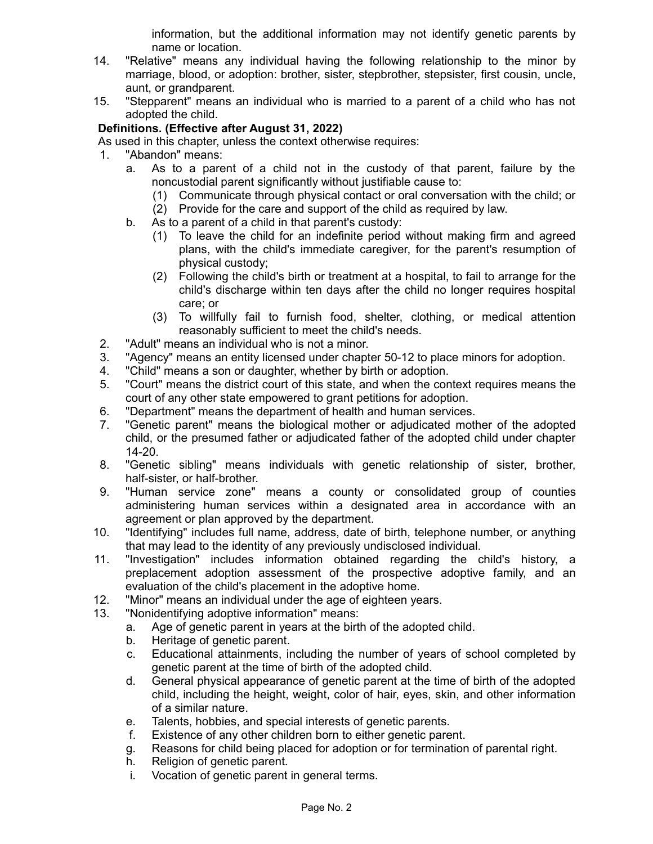information, but the additional information may not identify genetic parents by name or location.

- 14. "Relative" means any individual having the following relationship to the minor by marriage, blood, or adoption: brother, sister, stepbrother, stepsister, first cousin, uncle, aunt, or grandparent.
- 15. "Stepparent" means an individual who is married to a parent of a child who has not adopted the child.

# **Definitions. (Effective after August 31, 2022)**

As used in this chapter, unless the context otherwise requires:

- 1. "Abandon" means:
	- a. As to a parent of a child not in the custody of that parent, failure by the noncustodial parent significantly without justifiable cause to:
		- (1) Communicate through physical contact or oral conversation with the child; or
		- (2) Provide for the care and support of the child as required by law.
	- b. As to a parent of a child in that parent's custody:
		- (1) To leave the child for an indefinite period without making firm and agreed plans, with the child's immediate caregiver, for the parent's resumption of physical custody;
		- (2) Following the child's birth or treatment at a hospital, to fail to arrange for the child's discharge within ten days after the child no longer requires hospital care; or
		- (3) To willfully fail to furnish food, shelter, clothing, or medical attention reasonably sufficient to meet the child's needs.
- 2. "Adult" means an individual who is not a minor.
- 3. "Agency" means an entity licensed under chapter 50-12 to place minors for adoption.
- 4. "Child" means a son or daughter, whether by birth or adoption.
- 5. "Court" means the district court of this state, and when the context requires means the court of any other state empowered to grant petitions for adoption.
- 6. "Department" means the department of health and human services.
- 7. "Genetic parent" means the biological mother or adjudicated mother of the adopted child, or the presumed father or adjudicated father of the adopted child under chapter 14-20.
- 8. "Genetic sibling" means individuals with genetic relationship of sister, brother, half-sister, or half-brother.
- 9. "Human service zone" means a county or consolidated group of counties administering human services within a designated area in accordance with an agreement or plan approved by the department.
- 10. "Identifying" includes full name, address, date of birth, telephone number, or anything that may lead to the identity of any previously undisclosed individual.
- 11. "Investigation" includes information obtained regarding the child's history, a preplacement adoption assessment of the prospective adoptive family, and an evaluation of the child's placement in the adoptive home.
- 12. "Minor" means an individual under the age of eighteen years.
- 13. "Nonidentifying adoptive information" means:
	- a. Age of genetic parent in years at the birth of the adopted child.
	- b. Heritage of genetic parent.
	- c. Educational attainments, including the number of years of school completed by genetic parent at the time of birth of the adopted child.
	- d. General physical appearance of genetic parent at the time of birth of the adopted child, including the height, weight, color of hair, eyes, skin, and other information of a similar nature.
	- e. Talents, hobbies, and special interests of genetic parents.
	- f. Existence of any other children born to either genetic parent.
	- g. Reasons for child being placed for adoption or for termination of parental right.
	- h. Religion of genetic parent.
	- i. Vocation of genetic parent in general terms.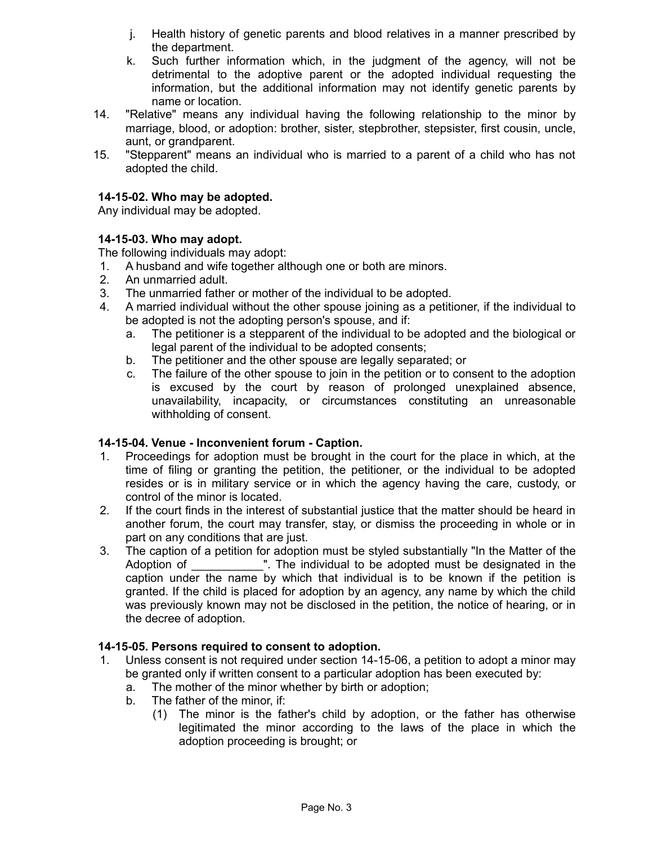- j. Health history of genetic parents and blood relatives in a manner prescribed by the department.
- k. Such further information which, in the judgment of the agency, will not be detrimental to the adoptive parent or the adopted individual requesting the information, but the additional information may not identify genetic parents by name or location.
- 14. "Relative" means any individual having the following relationship to the minor by marriage, blood, or adoption: brother, sister, stepbrother, stepsister, first cousin, uncle, aunt, or grandparent.
- 15. "Stepparent" means an individual who is married to a parent of a child who has not adopted the child.

### **14-15-02. Who may be adopted.**

Any individual may be adopted.

#### **14-15-03. Who may adopt.**

The following individuals may adopt:

- 1. A husband and wife together although one or both are minors.
- 2. An unmarried adult.
- 3. The unmarried father or mother of the individual to be adopted.
- 4. A married individual without the other spouse joining as a petitioner, if the individual to be adopted is not the adopting person's spouse, and if:
	- a. The petitioner is a stepparent of the individual to be adopted and the biological or legal parent of the individual to be adopted consents;
	- b. The petitioner and the other spouse are legally separated; or
	- c. The failure of the other spouse to join in the petition or to consent to the adoption is excused by the court by reason of prolonged unexplained absence, unavailability, incapacity, or circumstances constituting an unreasonable withholding of consent.

#### **14-15-04. Venue - Inconvenient forum - Caption.**

- 1. Proceedings for adoption must be brought in the court for the place in which, at the time of filing or granting the petition, the petitioner, or the individual to be adopted resides or is in military service or in which the agency having the care, custody, or control of the minor is located.
- 2. If the court finds in the interest of substantial justice that the matter should be heard in another forum, the court may transfer, stay, or dismiss the proceeding in whole or in part on any conditions that are just.
- 3. The caption of a petition for adoption must be styled substantially "In the Matter of the Adoption of The individual to be adopted must be designated in the caption under the name by which that individual is to be known if the petition is granted. If the child is placed for adoption by an agency, any name by which the child was previously known may not be disclosed in the petition, the notice of hearing, or in the decree of adoption.

#### **14-15-05. Persons required to consent to adoption.**

- 1. Unless consent is not required under section 14-15-06, a petition to adopt a minor may be granted only if written consent to a particular adoption has been executed by:
	- a. The mother of the minor whether by birth or adoption;
	- b. The father of the minor, if:
		- (1) The minor is the father's child by adoption, or the father has otherwise legitimated the minor according to the laws of the place in which the adoption proceeding is brought; or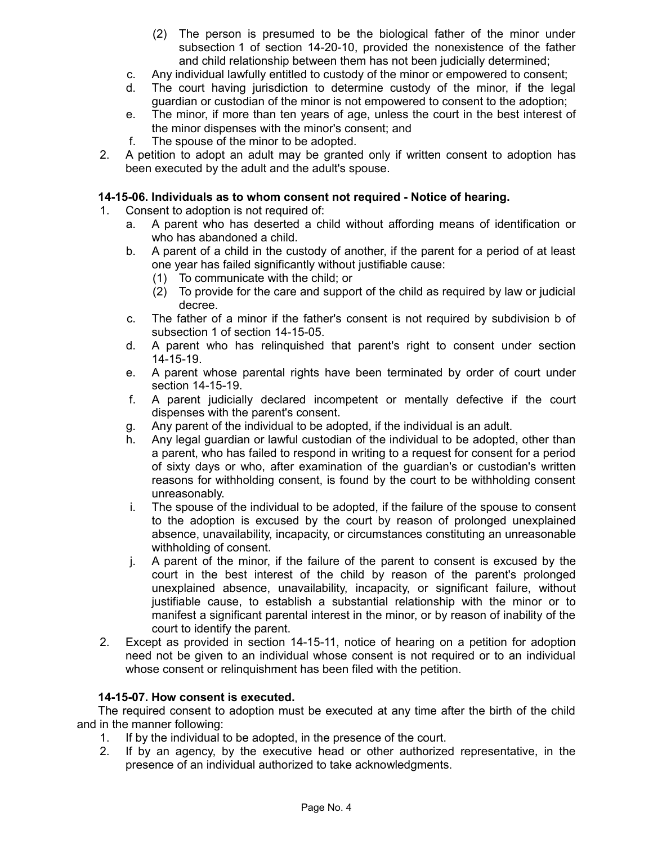- (2) The person is presumed to be the biological father of the minor under subsection 1 of section 14-20-10, provided the nonexistence of the father and child relationship between them has not been judicially determined;
- c. Any individual lawfully entitled to custody of the minor or empowered to consent;
- d. The court having jurisdiction to determine custody of the minor, if the legal guardian or custodian of the minor is not empowered to consent to the adoption;
- e. The minor, if more than ten years of age, unless the court in the best interest of the minor dispenses with the minor's consent; and
- f. The spouse of the minor to be adopted.
- 2. A petition to adopt an adult may be granted only if written consent to adoption has been executed by the adult and the adult's spouse.

#### **14-15-06. Individuals as to whom consent not required - Notice of hearing.**

- 1. Consent to adoption is not required of:
	- a. A parent who has deserted a child without affording means of identification or who has abandoned a child.
	- b. A parent of a child in the custody of another, if the parent for a period of at least one year has failed significantly without justifiable cause:
		- (1) To communicate with the child; or
		- (2) To provide for the care and support of the child as required by law or judicial decree.
	- c. The father of a minor if the father's consent is not required by subdivision b of subsection 1 of section 14-15-05.
	- d. A parent who has relinquished that parent's right to consent under section 14-15-19.
	- e. A parent whose parental rights have been terminated by order of court under section 14-15-19.
	- f. A parent judicially declared incompetent or mentally defective if the court dispenses with the parent's consent.
	- g. Any parent of the individual to be adopted, if the individual is an adult.
	- h. Any legal guardian or lawful custodian of the individual to be adopted, other than a parent, who has failed to respond in writing to a request for consent for a period of sixty days or who, after examination of the guardian's or custodian's written reasons for withholding consent, is found by the court to be withholding consent unreasonably.
	- i. The spouse of the individual to be adopted, if the failure of the spouse to consent to the adoption is excused by the court by reason of prolonged unexplained absence, unavailability, incapacity, or circumstances constituting an unreasonable withholding of consent.
	- j. A parent of the minor, if the failure of the parent to consent is excused by the court in the best interest of the child by reason of the parent's prolonged unexplained absence, unavailability, incapacity, or significant failure, without justifiable cause, to establish a substantial relationship with the minor or to manifest a significant parental interest in the minor, or by reason of inability of the court to identify the parent.
- 2. Except as provided in section 14-15-11, notice of hearing on a petition for adoption need not be given to an individual whose consent is not required or to an individual whose consent or relinquishment has been filed with the petition.

#### **14-15-07. How consent is executed.**

The required consent to adoption must be executed at any time after the birth of the child and in the manner following:

- 1. If by the individual to be adopted, in the presence of the court.
- 2. If by an agency, by the executive head or other authorized representative, in the presence of an individual authorized to take acknowledgments.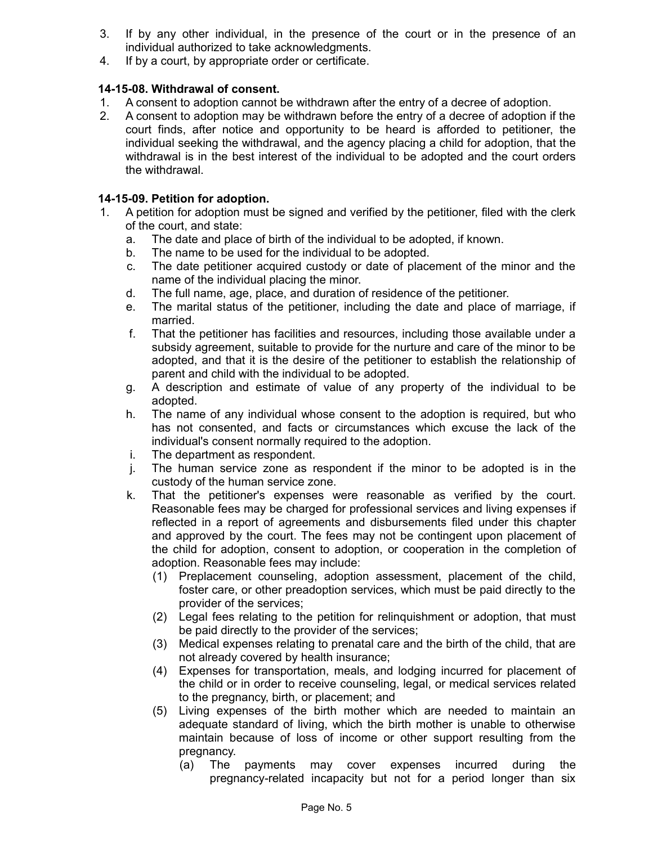- 3. If by any other individual, in the presence of the court or in the presence of an individual authorized to take acknowledgments.
- 4. If by a court, by appropriate order or certificate.

### **14-15-08. Withdrawal of consent.**

- 1. A consent to adoption cannot be withdrawn after the entry of a decree of adoption.
- 2. A consent to adoption may be withdrawn before the entry of a decree of adoption if the court finds, after notice and opportunity to be heard is afforded to petitioner, the individual seeking the withdrawal, and the agency placing a child for adoption, that the withdrawal is in the best interest of the individual to be adopted and the court orders the withdrawal.

### **14-15-09. Petition for adoption.**

- 1. A petition for adoption must be signed and verified by the petitioner, filed with the clerk of the court, and state:
	- a. The date and place of birth of the individual to be adopted, if known.
	- b. The name to be used for the individual to be adopted.
	- c. The date petitioner acquired custody or date of placement of the minor and the name of the individual placing the minor.
	- d. The full name, age, place, and duration of residence of the petitioner.
	- e. The marital status of the petitioner, including the date and place of marriage, if married.
	- f. That the petitioner has facilities and resources, including those available under a subsidy agreement, suitable to provide for the nurture and care of the minor to be adopted, and that it is the desire of the petitioner to establish the relationship of parent and child with the individual to be adopted.
	- g. A description and estimate of value of any property of the individual to be adopted.
	- h. The name of any individual whose consent to the adoption is required, but who has not consented, and facts or circumstances which excuse the lack of the individual's consent normally required to the adoption.
	- i. The department as respondent.
	- j. The human service zone as respondent if the minor to be adopted is in the custody of the human service zone.
	- k. That the petitioner's expenses were reasonable as verified by the court. Reasonable fees may be charged for professional services and living expenses if reflected in a report of agreements and disbursements filed under this chapter and approved by the court. The fees may not be contingent upon placement of the child for adoption, consent to adoption, or cooperation in the completion of adoption. Reasonable fees may include:
		- (1) Preplacement counseling, adoption assessment, placement of the child, foster care, or other preadoption services, which must be paid directly to the provider of the services;
		- (2) Legal fees relating to the petition for relinquishment or adoption, that must be paid directly to the provider of the services;
		- (3) Medical expenses relating to prenatal care and the birth of the child, that are not already covered by health insurance;
		- (4) Expenses for transportation, meals, and lodging incurred for placement of the child or in order to receive counseling, legal, or medical services related to the pregnancy, birth, or placement; and
		- (5) Living expenses of the birth mother which are needed to maintain an adequate standard of living, which the birth mother is unable to otherwise maintain because of loss of income or other support resulting from the pregnancy.
			- (a) The payments may cover expenses incurred during the pregnancy-related incapacity but not for a period longer than six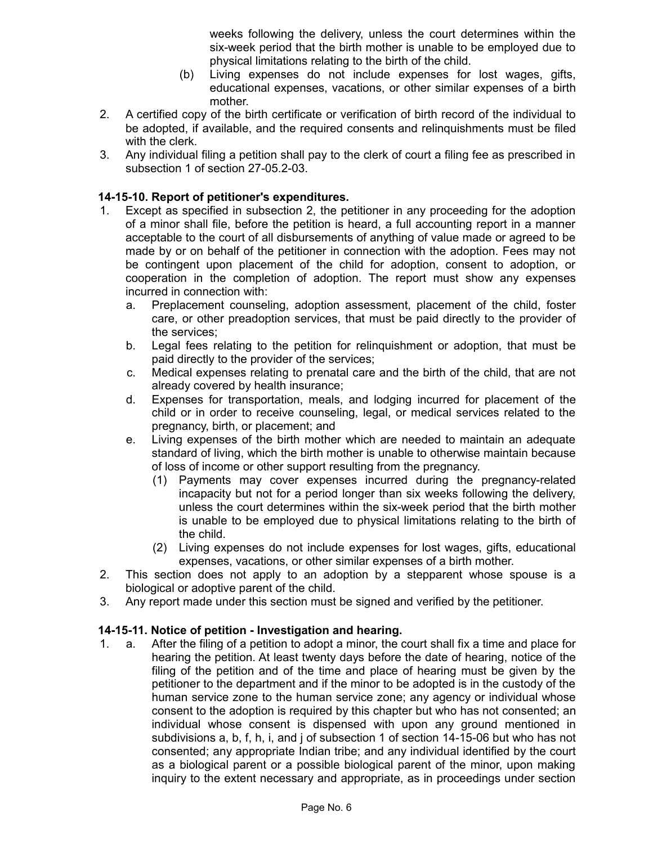weeks following the delivery, unless the court determines within the six-week period that the birth mother is unable to be employed due to physical limitations relating to the birth of the child.

- (b) Living expenses do not include expenses for lost wages, gifts, educational expenses, vacations, or other similar expenses of a birth mother.
- 2. A certified copy of the birth certificate or verification of birth record of the individual to be adopted, if available, and the required consents and relinquishments must be filed with the clerk.
- 3. Any individual filing a petition shall pay to the clerk of court a filing fee as prescribed in subsection 1 of section 27-05.2-03.

### **14-15-10. Report of petitioner's expenditures.**

- 1. Except as specified in subsection 2, the petitioner in any proceeding for the adoption of a minor shall file, before the petition is heard, a full accounting report in a manner acceptable to the court of all disbursements of anything of value made or agreed to be made by or on behalf of the petitioner in connection with the adoption. Fees may not be contingent upon placement of the child for adoption, consent to adoption, or cooperation in the completion of adoption. The report must show any expenses incurred in connection with:
	- a. Preplacement counseling, adoption assessment, placement of the child, foster care, or other preadoption services, that must be paid directly to the provider of the services;
	- b. Legal fees relating to the petition for relinquishment or adoption, that must be paid directly to the provider of the services;
	- c. Medical expenses relating to prenatal care and the birth of the child, that are not already covered by health insurance;
	- d. Expenses for transportation, meals, and lodging incurred for placement of the child or in order to receive counseling, legal, or medical services related to the pregnancy, birth, or placement; and
	- e. Living expenses of the birth mother which are needed to maintain an adequate standard of living, which the birth mother is unable to otherwise maintain because of loss of income or other support resulting from the pregnancy.
		- (1) Payments may cover expenses incurred during the pregnancy-related incapacity but not for a period longer than six weeks following the delivery, unless the court determines within the six-week period that the birth mother is unable to be employed due to physical limitations relating to the birth of the child.
		- (2) Living expenses do not include expenses for lost wages, gifts, educational expenses, vacations, or other similar expenses of a birth mother.
- 2. This section does not apply to an adoption by a stepparent whose spouse is a biological or adoptive parent of the child.
- 3. Any report made under this section must be signed and verified by the petitioner.

#### **14-15-11. Notice of petition - Investigation and hearing.**

1. a. After the filing of a petition to adopt a minor, the court shall fix a time and place for hearing the petition. At least twenty days before the date of hearing, notice of the filing of the petition and of the time and place of hearing must be given by the petitioner to the department and if the minor to be adopted is in the custody of the human service zone to the human service zone; any agency or individual whose consent to the adoption is required by this chapter but who has not consented; an individual whose consent is dispensed with upon any ground mentioned in subdivisions a, b, f, h, i, and j of subsection 1 of section 14-15-06 but who has not consented; any appropriate Indian tribe; and any individual identified by the court as a biological parent or a possible biological parent of the minor, upon making inquiry to the extent necessary and appropriate, as in proceedings under section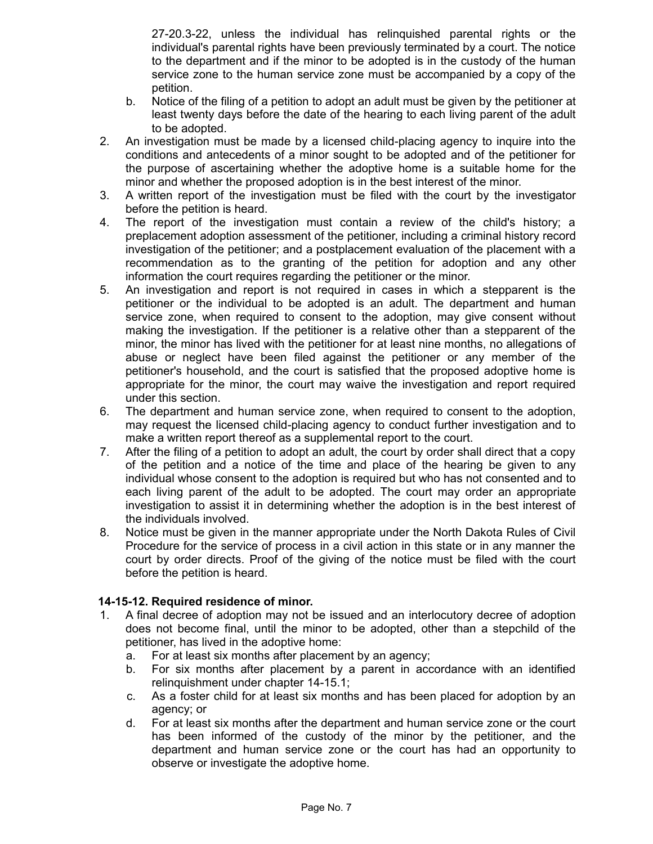27-20.3-22, unless the individual has relinquished parental rights or the individual's parental rights have been previously terminated by a court. The notice to the department and if the minor to be adopted is in the custody of the human service zone to the human service zone must be accompanied by a copy of the petition.

- b. Notice of the filing of a petition to adopt an adult must be given by the petitioner at least twenty days before the date of the hearing to each living parent of the adult to be adopted.
- 2. An investigation must be made by a licensed child-placing agency to inquire into the conditions and antecedents of a minor sought to be adopted and of the petitioner for the purpose of ascertaining whether the adoptive home is a suitable home for the minor and whether the proposed adoption is in the best interest of the minor.
- 3. A written report of the investigation must be filed with the court by the investigator before the petition is heard.
- 4. The report of the investigation must contain a review of the child's history; a preplacement adoption assessment of the petitioner, including a criminal history record investigation of the petitioner; and a postplacement evaluation of the placement with a recommendation as to the granting of the petition for adoption and any other information the court requires regarding the petitioner or the minor.
- 5. An investigation and report is not required in cases in which a stepparent is the petitioner or the individual to be adopted is an adult. The department and human service zone, when required to consent to the adoption, may give consent without making the investigation. If the petitioner is a relative other than a stepparent of the minor, the minor has lived with the petitioner for at least nine months, no allegations of abuse or neglect have been filed against the petitioner or any member of the petitioner's household, and the court is satisfied that the proposed adoptive home is appropriate for the minor, the court may waive the investigation and report required under this section.
- 6. The department and human service zone, when required to consent to the adoption, may request the licensed child-placing agency to conduct further investigation and to make a written report thereof as a supplemental report to the court.
- 7. After the filing of a petition to adopt an adult, the court by order shall direct that a copy of the petition and a notice of the time and place of the hearing be given to any individual whose consent to the adoption is required but who has not consented and to each living parent of the adult to be adopted. The court may order an appropriate investigation to assist it in determining whether the adoption is in the best interest of the individuals involved.
- 8. Notice must be given in the manner appropriate under the North Dakota Rules of Civil Procedure for the service of process in a civil action in this state or in any manner the court by order directs. Proof of the giving of the notice must be filed with the court before the petition is heard.

### **14-15-12. Required residence of minor.**

- 1. A final decree of adoption may not be issued and an interlocutory decree of adoption does not become final, until the minor to be adopted, other than a stepchild of the petitioner, has lived in the adoptive home:
	- a. For at least six months after placement by an agency;
	- b. For six months after placement by a parent in accordance with an identified relinquishment under chapter 14-15.1;
	- c. As a foster child for at least six months and has been placed for adoption by an agency; or
	- d. For at least six months after the department and human service zone or the court has been informed of the custody of the minor by the petitioner, and the department and human service zone or the court has had an opportunity to observe or investigate the adoptive home.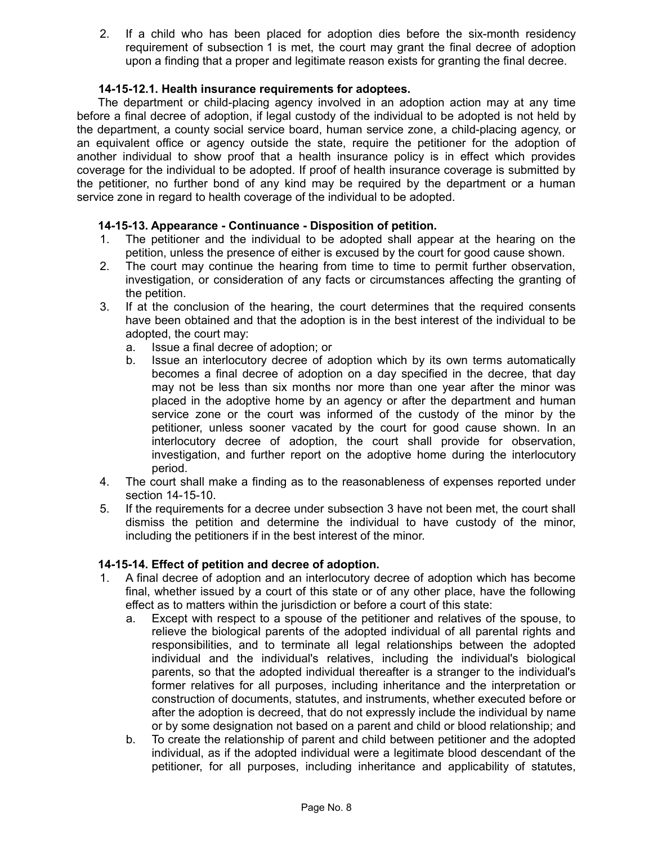2. If a child who has been placed for adoption dies before the six-month residency requirement of subsection 1 is met, the court may grant the final decree of adoption upon a finding that a proper and legitimate reason exists for granting the final decree.

### **14-15-12.1. Health insurance requirements for adoptees.**

The department or child-placing agency involved in an adoption action may at any time before a final decree of adoption, if legal custody of the individual to be adopted is not held by the department, a county social service board, human service zone, a child-placing agency, or an equivalent office or agency outside the state, require the petitioner for the adoption of another individual to show proof that a health insurance policy is in effect which provides coverage for the individual to be adopted. If proof of health insurance coverage is submitted by the petitioner, no further bond of any kind may be required by the department or a human service zone in regard to health coverage of the individual to be adopted.

#### **14-15-13. Appearance - Continuance - Disposition of petition.**

- 1. The petitioner and the individual to be adopted shall appear at the hearing on the petition, unless the presence of either is excused by the court for good cause shown.
- 2. The court may continue the hearing from time to time to permit further observation, investigation, or consideration of any facts or circumstances affecting the granting of the petition.
- 3. If at the conclusion of the hearing, the court determines that the required consents have been obtained and that the adoption is in the best interest of the individual to be adopted, the court may:
	- a. Issue a final decree of adoption; or
	- b. Issue an interlocutory decree of adoption which by its own terms automatically becomes a final decree of adoption on a day specified in the decree, that day may not be less than six months nor more than one year after the minor was placed in the adoptive home by an agency or after the department and human service zone or the court was informed of the custody of the minor by the petitioner, unless sooner vacated by the court for good cause shown. In an interlocutory decree of adoption, the court shall provide for observation, investigation, and further report on the adoptive home during the interlocutory period.
- 4. The court shall make a finding as to the reasonableness of expenses reported under section 14-15-10.
- 5. If the requirements for a decree under subsection 3 have not been met, the court shall dismiss the petition and determine the individual to have custody of the minor, including the petitioners if in the best interest of the minor.

### **14-15-14. Effect of petition and decree of adoption.**

- 1. A final decree of adoption and an interlocutory decree of adoption which has become final, whether issued by a court of this state or of any other place, have the following effect as to matters within the jurisdiction or before a court of this state:
	- a. Except with respect to a spouse of the petitioner and relatives of the spouse, to relieve the biological parents of the adopted individual of all parental rights and responsibilities, and to terminate all legal relationships between the adopted individual and the individual's relatives, including the individual's biological parents, so that the adopted individual thereafter is a stranger to the individual's former relatives for all purposes, including inheritance and the interpretation or construction of documents, statutes, and instruments, whether executed before or after the adoption is decreed, that do not expressly include the individual by name or by some designation not based on a parent and child or blood relationship; and
	- b. To create the relationship of parent and child between petitioner and the adopted individual, as if the adopted individual were a legitimate blood descendant of the petitioner, for all purposes, including inheritance and applicability of statutes,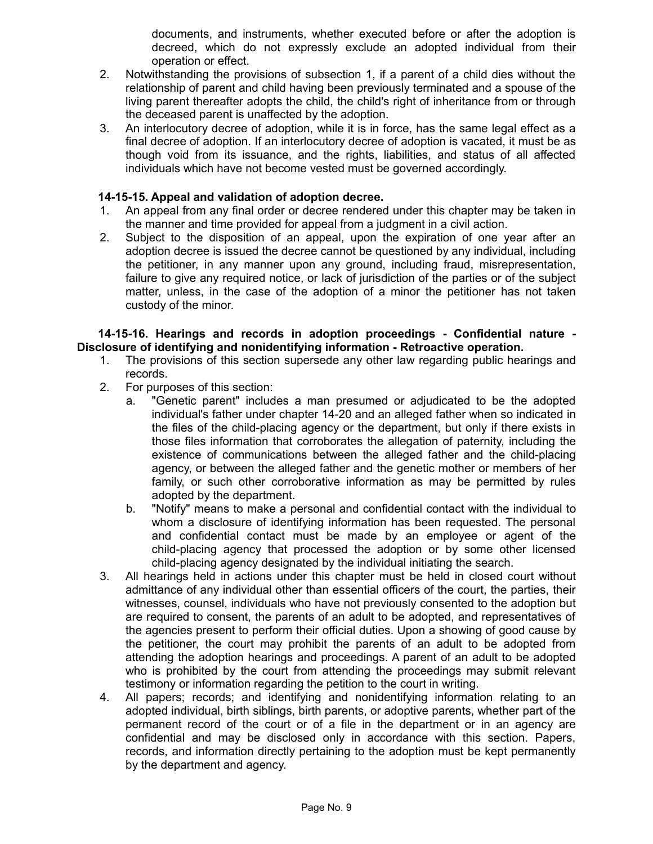documents, and instruments, whether executed before or after the adoption is decreed, which do not expressly exclude an adopted individual from their operation or effect.

- 2. Notwithstanding the provisions of subsection 1, if a parent of a child dies without the relationship of parent and child having been previously terminated and a spouse of the living parent thereafter adopts the child, the child's right of inheritance from or through the deceased parent is unaffected by the adoption.
- 3. An interlocutory decree of adoption, while it is in force, has the same legal effect as a final decree of adoption. If an interlocutory decree of adoption is vacated, it must be as though void from its issuance, and the rights, liabilities, and status of all affected individuals which have not become vested must be governed accordingly.

### **14-15-15. Appeal and validation of adoption decree.**

- 1. An appeal from any final order or decree rendered under this chapter may be taken in the manner and time provided for appeal from a judgment in a civil action.
- 2. Subject to the disposition of an appeal, upon the expiration of one year after an adoption decree is issued the decree cannot be questioned by any individual, including the petitioner, in any manner upon any ground, including fraud, misrepresentation, failure to give any required notice, or lack of jurisdiction of the parties or of the subject matter, unless, in the case of the adoption of a minor the petitioner has not taken custody of the minor.

#### **14-15-16. Hearings and records in adoption proceedings - Confidential nature - Disclosure of identifying and nonidentifying information - Retroactive operation.**

- 1. The provisions of this section supersede any other law regarding public hearings and records.
- 2. For purposes of this section:
	- a. "Genetic parent" includes a man presumed or adjudicated to be the adopted individual's father under chapter 14-20 and an alleged father when so indicated in the files of the child-placing agency or the department, but only if there exists in those files information that corroborates the allegation of paternity, including the existence of communications between the alleged father and the child-placing agency, or between the alleged father and the genetic mother or members of her family, or such other corroborative information as may be permitted by rules adopted by the department.
	- b. "Notify" means to make a personal and confidential contact with the individual to whom a disclosure of identifying information has been requested. The personal and confidential contact must be made by an employee or agent of the child-placing agency that processed the adoption or by some other licensed child-placing agency designated by the individual initiating the search.
- 3. All hearings held in actions under this chapter must be held in closed court without admittance of any individual other than essential officers of the court, the parties, their witnesses, counsel, individuals who have not previously consented to the adoption but are required to consent, the parents of an adult to be adopted, and representatives of the agencies present to perform their official duties. Upon a showing of good cause by the petitioner, the court may prohibit the parents of an adult to be adopted from attending the adoption hearings and proceedings. A parent of an adult to be adopted who is prohibited by the court from attending the proceedings may submit relevant testimony or information regarding the petition to the court in writing.
- 4. All papers; records; and identifying and nonidentifying information relating to an adopted individual, birth siblings, birth parents, or adoptive parents, whether part of the permanent record of the court or of a file in the department or in an agency are confidential and may be disclosed only in accordance with this section. Papers, records, and information directly pertaining to the adoption must be kept permanently by the department and agency.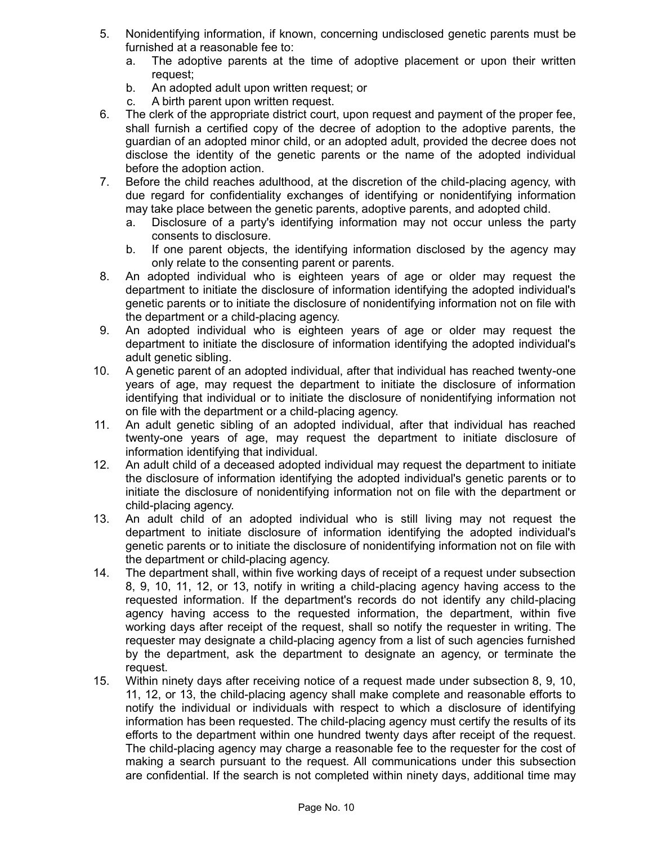- 5. Nonidentifying information, if known, concerning undisclosed genetic parents must be furnished at a reasonable fee to:
	- a. The adoptive parents at the time of adoptive placement or upon their written request;
	- b. An adopted adult upon written request; or
	- c. A birth parent upon written request.
- 6. The clerk of the appropriate district court, upon request and payment of the proper fee, shall furnish a certified copy of the decree of adoption to the adoptive parents, the guardian of an adopted minor child, or an adopted adult, provided the decree does not disclose the identity of the genetic parents or the name of the adopted individual before the adoption action.
- 7. Before the child reaches adulthood, at the discretion of the child-placing agency, with due regard for confidentiality exchanges of identifying or nonidentifying information may take place between the genetic parents, adoptive parents, and adopted child.
	- a. Disclosure of a party's identifying information may not occur unless the party consents to disclosure.
	- b. If one parent objects, the identifying information disclosed by the agency may only relate to the consenting parent or parents.
- 8. An adopted individual who is eighteen years of age or older may request the department to initiate the disclosure of information identifying the adopted individual's genetic parents or to initiate the disclosure of nonidentifying information not on file with the department or a child-placing agency.
- 9. An adopted individual who is eighteen years of age or older may request the department to initiate the disclosure of information identifying the adopted individual's adult genetic sibling.
- 10. A genetic parent of an adopted individual, after that individual has reached twenty-one years of age, may request the department to initiate the disclosure of information identifying that individual or to initiate the disclosure of nonidentifying information not on file with the department or a child-placing agency.
- 11. An adult genetic sibling of an adopted individual, after that individual has reached twenty-one years of age, may request the department to initiate disclosure of information identifying that individual.
- 12. An adult child of a deceased adopted individual may request the department to initiate the disclosure of information identifying the adopted individual's genetic parents or to initiate the disclosure of nonidentifying information not on file with the department or child-placing agency.
- 13. An adult child of an adopted individual who is still living may not request the department to initiate disclosure of information identifying the adopted individual's genetic parents or to initiate the disclosure of nonidentifying information not on file with the department or child-placing agency.
- 14. The department shall, within five working days of receipt of a request under subsection 8, 9, 10, 11, 12, or 13, notify in writing a child-placing agency having access to the requested information. If the department's records do not identify any child-placing agency having access to the requested information, the department, within five working days after receipt of the request, shall so notify the requester in writing. The requester may designate a child-placing agency from a list of such agencies furnished by the department, ask the department to designate an agency, or terminate the request.
- 15. Within ninety days after receiving notice of a request made under subsection 8, 9, 10, 11, 12, or 13, the child-placing agency shall make complete and reasonable efforts to notify the individual or individuals with respect to which a disclosure of identifying information has been requested. The child-placing agency must certify the results of its efforts to the department within one hundred twenty days after receipt of the request. The child-placing agency may charge a reasonable fee to the requester for the cost of making a search pursuant to the request. All communications under this subsection are confidential. If the search is not completed within ninety days, additional time may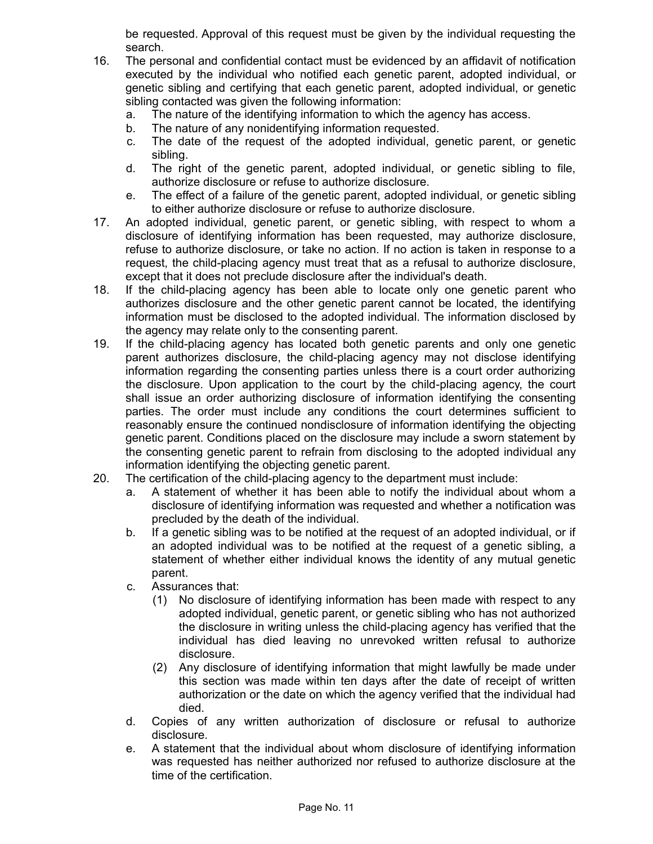be requested. Approval of this request must be given by the individual requesting the search.

- 16. The personal and confidential contact must be evidenced by an affidavit of notification executed by the individual who notified each genetic parent, adopted individual, or genetic sibling and certifying that each genetic parent, adopted individual, or genetic sibling contacted was given the following information:
	- a. The nature of the identifying information to which the agency has access.
	- b. The nature of any nonidentifying information requested.
	- c. The date of the request of the adopted individual, genetic parent, or genetic sibling.
	- d. The right of the genetic parent, adopted individual, or genetic sibling to file, authorize disclosure or refuse to authorize disclosure.
	- e. The effect of a failure of the genetic parent, adopted individual, or genetic sibling to either authorize disclosure or refuse to authorize disclosure.
- 17. An adopted individual, genetic parent, or genetic sibling, with respect to whom a disclosure of identifying information has been requested, may authorize disclosure, refuse to authorize disclosure, or take no action. If no action is taken in response to a request, the child-placing agency must treat that as a refusal to authorize disclosure, except that it does not preclude disclosure after the individual's death.
- 18. If the child-placing agency has been able to locate only one genetic parent who authorizes disclosure and the other genetic parent cannot be located, the identifying information must be disclosed to the adopted individual. The information disclosed by the agency may relate only to the consenting parent.
- 19. If the child-placing agency has located both genetic parents and only one genetic parent authorizes disclosure, the child-placing agency may not disclose identifying information regarding the consenting parties unless there is a court order authorizing the disclosure. Upon application to the court by the child-placing agency, the court shall issue an order authorizing disclosure of information identifying the consenting parties. The order must include any conditions the court determines sufficient to reasonably ensure the continued nondisclosure of information identifying the objecting genetic parent. Conditions placed on the disclosure may include a sworn statement by the consenting genetic parent to refrain from disclosing to the adopted individual any information identifying the objecting genetic parent.
- 20. The certification of the child-placing agency to the department must include:
	- a. A statement of whether it has been able to notify the individual about whom a disclosure of identifying information was requested and whether a notification was precluded by the death of the individual.
	- b. If a genetic sibling was to be notified at the request of an adopted individual, or if an adopted individual was to be notified at the request of a genetic sibling, a statement of whether either individual knows the identity of any mutual genetic parent.
	- c. Assurances that:
		- (1) No disclosure of identifying information has been made with respect to any adopted individual, genetic parent, or genetic sibling who has not authorized the disclosure in writing unless the child-placing agency has verified that the individual has died leaving no unrevoked written refusal to authorize disclosure.
		- (2) Any disclosure of identifying information that might lawfully be made under this section was made within ten days after the date of receipt of written authorization or the date on which the agency verified that the individual had died.
	- d. Copies of any written authorization of disclosure or refusal to authorize disclosure.
	- e. A statement that the individual about whom disclosure of identifying information was requested has neither authorized nor refused to authorize disclosure at the time of the certification.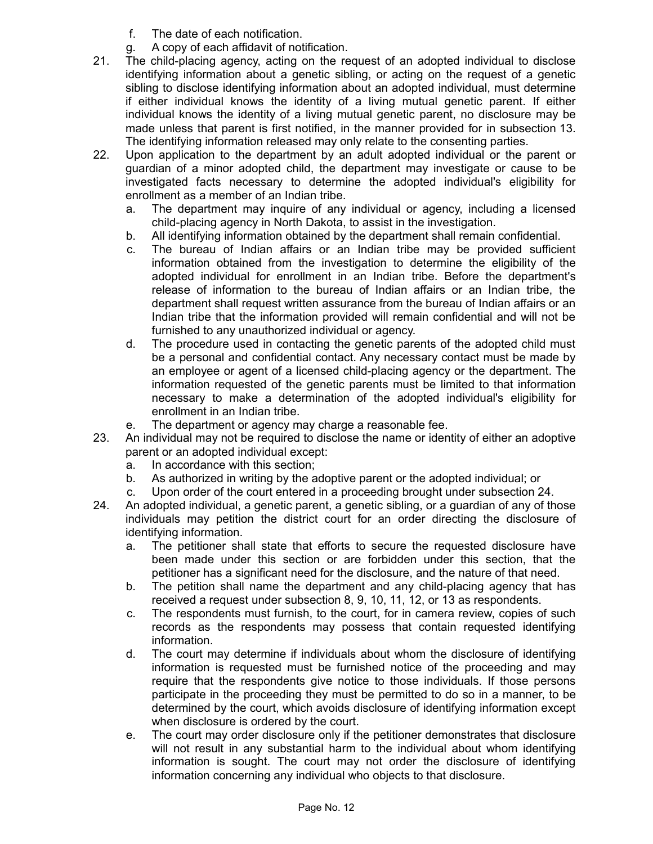- f. The date of each notification.
- g. A copy of each affidavit of notification.
- 21. The child-placing agency, acting on the request of an adopted individual to disclose identifying information about a genetic sibling, or acting on the request of a genetic sibling to disclose identifying information about an adopted individual, must determine if either individual knows the identity of a living mutual genetic parent. If either individual knows the identity of a living mutual genetic parent, no disclosure may be made unless that parent is first notified, in the manner provided for in subsection 13. The identifying information released may only relate to the consenting parties.
- 22. Upon application to the department by an adult adopted individual or the parent or guardian of a minor adopted child, the department may investigate or cause to be investigated facts necessary to determine the adopted individual's eligibility for enrollment as a member of an Indian tribe.
	- a. The department may inquire of any individual or agency, including a licensed child-placing agency in North Dakota, to assist in the investigation.
	- b. All identifying information obtained by the department shall remain confidential.
	- c. The bureau of Indian affairs or an Indian tribe may be provided sufficient information obtained from the investigation to determine the eligibility of the adopted individual for enrollment in an Indian tribe. Before the department's release of information to the bureau of Indian affairs or an Indian tribe, the department shall request written assurance from the bureau of Indian affairs or an Indian tribe that the information provided will remain confidential and will not be furnished to any unauthorized individual or agency.
	- d. The procedure used in contacting the genetic parents of the adopted child must be a personal and confidential contact. Any necessary contact must be made by an employee or agent of a licensed child-placing agency or the department. The information requested of the genetic parents must be limited to that information necessary to make a determination of the adopted individual's eligibility for enrollment in an Indian tribe.
	- e. The department or agency may charge a reasonable fee.
- 23. An individual may not be required to disclose the name or identity of either an adoptive parent or an adopted individual except:
	- a. In accordance with this section;
	- b. As authorized in writing by the adoptive parent or the adopted individual; or
	- c. Upon order of the court entered in a proceeding brought under subsection 24.
- 24. An adopted individual, a genetic parent, a genetic sibling, or a guardian of any of those individuals may petition the district court for an order directing the disclosure of identifying information.
	- a. The petitioner shall state that efforts to secure the requested disclosure have been made under this section or are forbidden under this section, that the petitioner has a significant need for the disclosure, and the nature of that need.
	- b. The petition shall name the department and any child-placing agency that has received a request under subsection 8, 9, 10, 11, 12, or 13 as respondents.
	- c. The respondents must furnish, to the court, for in camera review, copies of such records as the respondents may possess that contain requested identifying information.
	- d. The court may determine if individuals about whom the disclosure of identifying information is requested must be furnished notice of the proceeding and may require that the respondents give notice to those individuals. If those persons participate in the proceeding they must be permitted to do so in a manner, to be determined by the court, which avoids disclosure of identifying information except when disclosure is ordered by the court.
	- e. The court may order disclosure only if the petitioner demonstrates that disclosure will not result in any substantial harm to the individual about whom identifying information is sought. The court may not order the disclosure of identifying information concerning any individual who objects to that disclosure.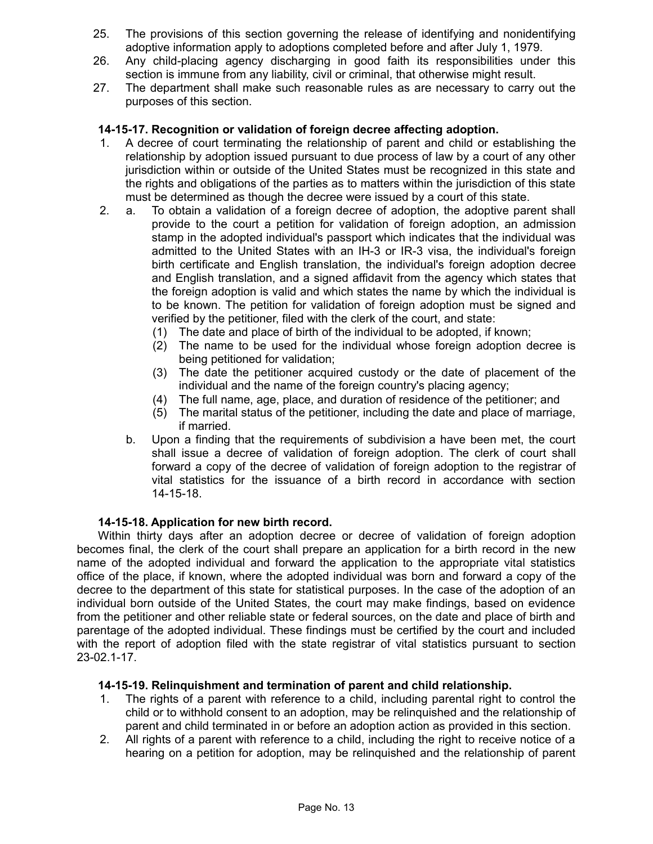- 25. The provisions of this section governing the release of identifying and nonidentifying adoptive information apply to adoptions completed before and after July 1, 1979.
- 26. Any child-placing agency discharging in good faith its responsibilities under this section is immune from any liability, civil or criminal, that otherwise might result.
- 27. The department shall make such reasonable rules as are necessary to carry out the purposes of this section.

### **14-15-17. Recognition or validation of foreign decree affecting adoption.**

- 1. A decree of court terminating the relationship of parent and child or establishing the relationship by adoption issued pursuant to due process of law by a court of any other jurisdiction within or outside of the United States must be recognized in this state and the rights and obligations of the parties as to matters within the jurisdiction of this state must be determined as though the decree were issued by a court of this state.
- 2. a. To obtain a validation of a foreign decree of adoption, the adoptive parent shall provide to the court a petition for validation of foreign adoption, an admission stamp in the adopted individual's passport which indicates that the individual was admitted to the United States with an IH-3 or IR-3 visa, the individual's foreign birth certificate and English translation, the individual's foreign adoption decree and English translation, and a signed affidavit from the agency which states that the foreign adoption is valid and which states the name by which the individual is to be known. The petition for validation of foreign adoption must be signed and verified by the petitioner, filed with the clerk of the court, and state:
	- (1) The date and place of birth of the individual to be adopted, if known;
	- (2) The name to be used for the individual whose foreign adoption decree is being petitioned for validation;
	- (3) The date the petitioner acquired custody or the date of placement of the individual and the name of the foreign country's placing agency;
	- (4) The full name, age, place, and duration of residence of the petitioner; and
	- (5) The marital status of the petitioner, including the date and place of marriage, if married.
	- b. Upon a finding that the requirements of subdivision a have been met, the court shall issue a decree of validation of foreign adoption. The clerk of court shall forward a copy of the decree of validation of foreign adoption to the registrar of vital statistics for the issuance of a birth record in accordance with section 14-15-18.

#### **14-15-18. Application for new birth record.**

Within thirty days after an adoption decree or decree of validation of foreign adoption becomes final, the clerk of the court shall prepare an application for a birth record in the new name of the adopted individual and forward the application to the appropriate vital statistics office of the place, if known, where the adopted individual was born and forward a copy of the decree to the department of this state for statistical purposes. In the case of the adoption of an individual born outside of the United States, the court may make findings, based on evidence from the petitioner and other reliable state or federal sources, on the date and place of birth and parentage of the adopted individual. These findings must be certified by the court and included with the report of adoption filed with the state registrar of vital statistics pursuant to section 23-02.1-17.

#### **14-15-19. Relinquishment and termination of parent and child relationship.**

- 1. The rights of a parent with reference to a child, including parental right to control the child or to withhold consent to an adoption, may be relinquished and the relationship of parent and child terminated in or before an adoption action as provided in this section.
- 2. All rights of a parent with reference to a child, including the right to receive notice of a hearing on a petition for adoption, may be relinquished and the relationship of parent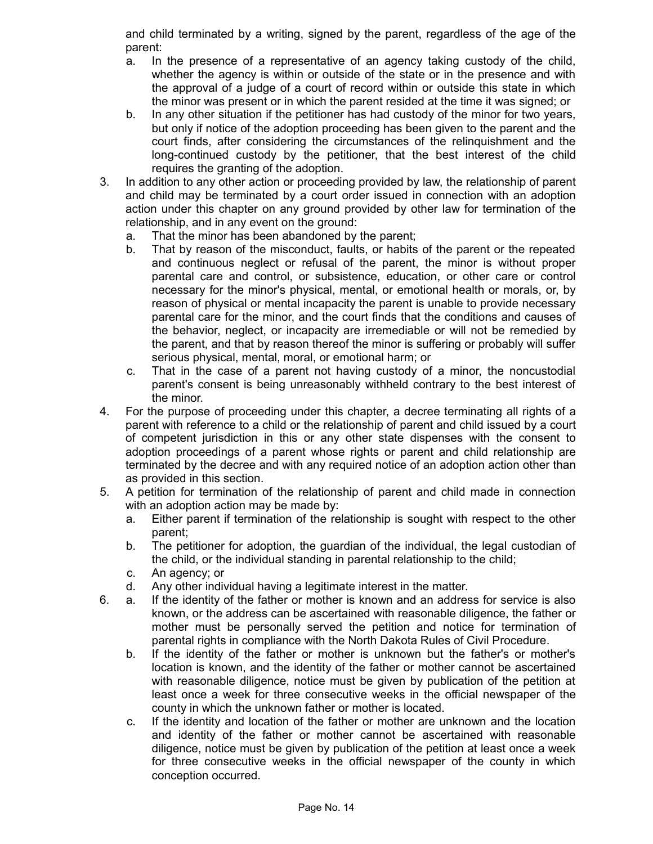and child terminated by a writing, signed by the parent, regardless of the age of the parent:

- a. In the presence of a representative of an agency taking custody of the child, whether the agency is within or outside of the state or in the presence and with the approval of a judge of a court of record within or outside this state in which the minor was present or in which the parent resided at the time it was signed; or
- b. In any other situation if the petitioner has had custody of the minor for two years, but only if notice of the adoption proceeding has been given to the parent and the court finds, after considering the circumstances of the relinquishment and the long-continued custody by the petitioner, that the best interest of the child requires the granting of the adoption.
- 3. In addition to any other action or proceeding provided by law, the relationship of parent and child may be terminated by a court order issued in connection with an adoption action under this chapter on any ground provided by other law for termination of the relationship, and in any event on the ground:
	- a. That the minor has been abandoned by the parent;
	- b. That by reason of the misconduct, faults, or habits of the parent or the repeated and continuous neglect or refusal of the parent, the minor is without proper parental care and control, or subsistence, education, or other care or control necessary for the minor's physical, mental, or emotional health or morals, or, by reason of physical or mental incapacity the parent is unable to provide necessary parental care for the minor, and the court finds that the conditions and causes of the behavior, neglect, or incapacity are irremediable or will not be remedied by the parent, and that by reason thereof the minor is suffering or probably will suffer serious physical, mental, moral, or emotional harm; or
	- c. That in the case of a parent not having custody of a minor, the noncustodial parent's consent is being unreasonably withheld contrary to the best interest of the minor.
- 4. For the purpose of proceeding under this chapter, a decree terminating all rights of a parent with reference to a child or the relationship of parent and child issued by a court of competent jurisdiction in this or any other state dispenses with the consent to adoption proceedings of a parent whose rights or parent and child relationship are terminated by the decree and with any required notice of an adoption action other than as provided in this section.
- 5. A petition for termination of the relationship of parent and child made in connection with an adoption action may be made by:
	- a. Either parent if termination of the relationship is sought with respect to the other parent;
	- b. The petitioner for adoption, the guardian of the individual, the legal custodian of the child, or the individual standing in parental relationship to the child;
	- c. An agency; or
	- d. Any other individual having a legitimate interest in the matter.
- 6. a. If the identity of the father or mother is known and an address for service is also known, or the address can be ascertained with reasonable diligence, the father or mother must be personally served the petition and notice for termination of parental rights in compliance with the North Dakota Rules of Civil Procedure.
	- b. If the identity of the father or mother is unknown but the father's or mother's location is known, and the identity of the father or mother cannot be ascertained with reasonable diligence, notice must be given by publication of the petition at least once a week for three consecutive weeks in the official newspaper of the county in which the unknown father or mother is located.
	- c. If the identity and location of the father or mother are unknown and the location and identity of the father or mother cannot be ascertained with reasonable diligence, notice must be given by publication of the petition at least once a week for three consecutive weeks in the official newspaper of the county in which conception occurred.